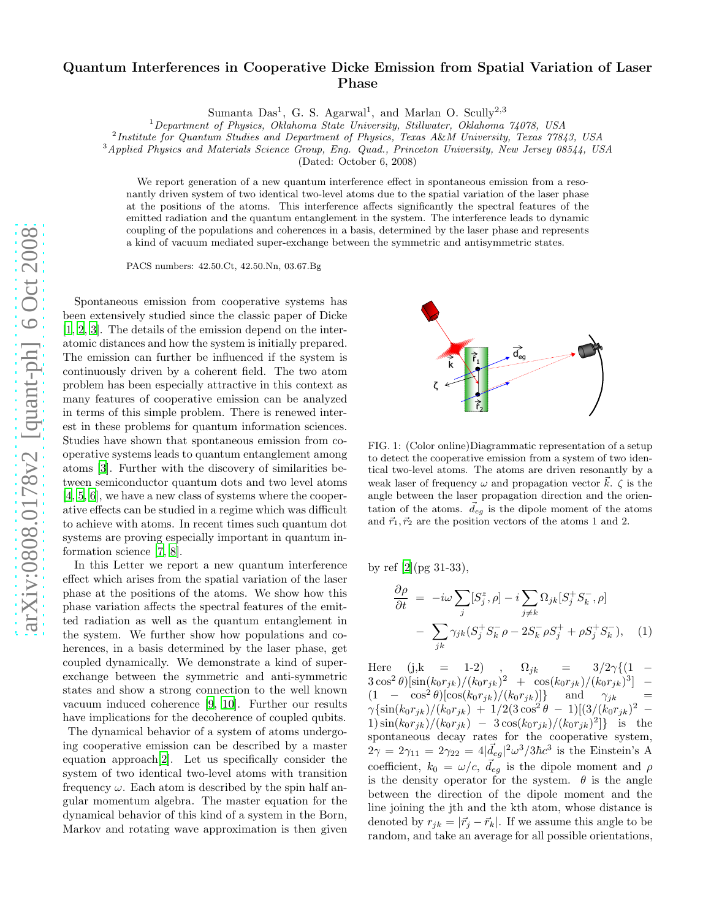## Quantum Interferences in Cooperative Dicke Emission from Spatial Variation of Laser Phase

Sumanta Das<sup>1</sup>, G. S. Agarwal<sup>1</sup>, and Marlan O. Scully<sup>2,3</sup>

<sup>1</sup>Department of Physics, Oklahoma State University, Stillwater, Oklahoma 74078, USA

<sup>2</sup>Institute for Quantum Studies and Department of Physics, Texas A&M University, Texas 77843, USA

<sup>3</sup>Applied Physics and Materials Science Group, Eng. Quad., Princeton University, New Jersey 08544, USA

(Dated: October 6, 2008)

We report generation of a new quantum interference effect in spontaneous emission from a resonantly driven system of two identical two-level atoms due to the spatial variation of the laser phase at the positions of the atoms. This interference affects significantly the spectral features of the emitted radiation and the quantum entanglement in the system. The interference leads to dynamic coupling of the populations and coherences in a basis, determined by the laser phase and represents a kind of vacuum mediated super-exchange between the symmetric and antisymmetric states.

PACS numbers: 42.50.Ct, 42.50.Nn, 03.67.Bg

Spontaneous emission from cooperative systems has been extensively studied since the classic paper of Dicke [\[1,](#page-3-0) [2](#page-3-1), [3](#page-3-2)]. The details of the emission depend on the interatomic distances and how the system is initially prepared. The emission can further be influenced if the system is continuously driven by a coherent field. The two atom problem has been especially attractive in this context as many features of cooperative emission can be analyzed in terms of this simple problem. There is renewed interest in these problems for quantum information sciences. Studies have shown that spontaneous emission from cooperative systems leads to quantum entanglement among atoms [\[3\]](#page-3-2). Further with the discovery of similarities between semiconductor quantum dots and two level atoms [\[4,](#page-3-3) [5](#page-3-4), [6\]](#page-3-5), we have a new class of systems where the cooperative effects can be studied in a regime which was difficult to achieve with atoms. In recent times such quantum dot systems are proving especially important in quantum information science [\[7,](#page-3-6) [8\]](#page-3-7).

In this Letter we report a new quantum interference effect which arises from the spatial variation of the laser phase at the positions of the atoms. We show how this phase variation affects the spectral features of the emitted radiation as well as the quantum entanglement in the system. We further show how populations and coherences, in a basis determined by the laser phase, get coupled dynamically. We demonstrate a kind of superexchange between the symmetric and anti-symmetric states and show a strong connection to the well known vacuum induced coherence [\[9](#page-3-8), [10\]](#page-3-9). Further our results have implications for the decoherence of coupled qubits.

The dynamical behavior of a system of atoms undergoing cooperative emission can be described by a master equation approach[\[2\]](#page-3-1). Let us specifically consider the system of two identical two-level atoms with transition frequency  $\omega$ . Each atom is described by the spin half angular momentum algebra. The master equation for the dynamical behavior of this kind of a system in the Born, Markov and rotating wave approximation is then given



FIG. 1: (Color online)Diagrammatic representation of a setup to detect the cooperative emission from a system of two identical two-level atoms. The atoms are driven resonantly by a weak laser of frequency  $\omega$  and propagation vector  $\vec{k}$ .  $\zeta$  is the angle between the laser propagation direction and the orientation of the atoms.  $\vec{d}_{eg}$  is the dipole moment of the atoms and  $\vec{r}_1, \vec{r}_2$  are the position vectors of the atoms 1 and 2.

by ref [\[2](#page-3-1)](pg 31-33),

<span id="page-0-0"></span>
$$
\frac{\partial \rho}{\partial t} = -i\omega \sum_{j} [S_j^z, \rho] - i \sum_{j \neq k} \Omega_{jk} [S_j^+ S_k^-, \rho]
$$

$$
- \sum_{jk} \gamma_{jk} (S_j^+ S_k^- \rho - 2S_k^- \rho S_j^+ + \rho S_j^+ S_k^-), \quad (1)
$$

Here (j,k = 1-2) ,  $\Omega_{jk} = 3/2\gamma\{(1 - \frac{1}{2})\}$  $3\cos^2\theta\left[\sin(k_0r_{jk})/(k_0r_{jk})^2 + \cos(k_0r_{jk})/(k_0r_{jk})^3\right]$  –  $(1 - \cos^2 \theta) [\cos(k_0 r_{jk})/(k_0 r_{jk})]$ } and  $\gamma_{jk}$  =  $\gamma\{\sin(k_0 r_{jk})/(k_0 r_{jk}) + 1/2(3\cos^2\theta - 1)[(3/(k_0 r_{jk})^2 -$ 1)  $\sin(k_0 r_{jk})/(k_0 r_{jk}) - 3\cos(k_0 r_{jk})/(k_0 r_{jk})^2$  is the spontaneous decay rates for the cooperative system,  $2\gamma = 2\gamma_{11} = 2\gamma_{22} = 4|\vec{d}_{eg}|^2\omega^3/3\hbar c^3$  is the Einstein's A coefficient,  $k_0 = \omega/c$ ,  $\vec{d}_{eg}$  is the dipole moment and  $\rho$ is the density operator for the system.  $\theta$  is the angle between the direction of the dipole moment and the line joining the jth and the kth atom, whose distance is denoted by  $r_{jk} = |\vec{r}_j - \vec{r}_k|$ . If we assume this angle to be random, and take an average for all possible orientations,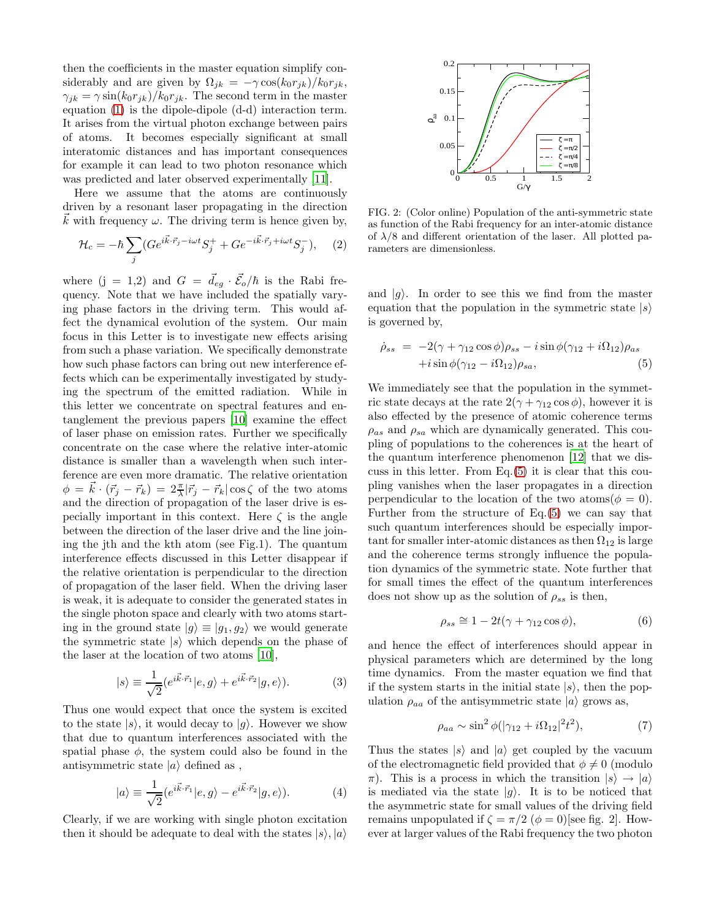then the coefficients in the master equation simplify considerably and are given by  $\Omega_{jk} = -\gamma \cos(k_0 r_{jk})/k_0 r_{jk}$ ,  $\gamma_{jk} = \gamma \sin(k_0 r_{jk})/k_0 r_{jk}$ . The second term in the master equation [\(1\)](#page-0-0) is the dipole-dipole (d-d) interaction term. It arises from the virtual photon exchange between pairs of atoms. It becomes especially significant at small interatomic distances and has important consequences for example it can lead to two photon resonance which was predicted and later observed experimentally [\[11\]](#page-3-10).

Here we assume that the atoms are continuously driven by a resonant laser propagating in the direction  $k$  with frequency  $\omega$ . The driving term is hence given by,

$$
\mathcal{H}_c = -\hbar \sum_j (Ge^{i\vec{k}\cdot\vec{r}_j - i\omega t} S_j^+ + Ge^{-i\vec{k}\cdot\vec{r}_j + i\omega t} S_j^-), \quad (2)
$$

where  $(j = 1,2)$  and  $G = \vec{d}_{eg} \cdot \vec{\mathcal{E}}_o/\hbar$  is the Rabi frequency. Note that we have included the spatially varying phase factors in the driving term. This would affect the dynamical evolution of the system. Our main focus in this Letter is to investigate new effects arising from such a phase variation. We specifically demonstrate how such phase factors can bring out new interference effects which can be experimentally investigated by studying the spectrum of the emitted radiation. While in this letter we concentrate on spectral features and entanglement the previous papers [\[10\]](#page-3-9) examine the effect of laser phase on emission rates. Further we specifically concentrate on the case where the relative inter-atomic distance is smaller than a wavelength when such interference are even more dramatic. The relative orientation  $\phi = \vec{k} \cdot (\vec{r}_j - \vec{r}_k) = 2\frac{\pi}{\lambda} |\vec{r}_j - \vec{r}_k| \cos \zeta$  of the two atoms and the direction of propagation of the laser drive is especially important in this context. Here  $\zeta$  is the angle between the direction of the laser drive and the line joining the jth and the kth atom (see Fig.1). The quantum interference effects discussed in this Letter disappear if the relative orientation is perpendicular to the direction of propagation of the laser field. When the driving laser is weak, it is adequate to consider the generated states in the single photon space and clearly with two atoms starting in the ground state  $|g\rangle \equiv |g_1, g_2\rangle$  we would generate the symmetric state  $|s\rangle$  which depends on the phase of the laser at the location of two atoms [\[10](#page-3-9)],

$$
|s\rangle \equiv \frac{1}{\sqrt{2}} (e^{i\vec{k}\cdot\vec{r}_1} |e,g\rangle + e^{i\vec{k}\cdot\vec{r}_2} |g,e\rangle). \tag{3}
$$

Thus one would expect that once the system is excited to the state  $|s\rangle$ , it would decay to  $|g\rangle$ . However we show that due to quantum interferences associated with the spatial phase  $\phi$ , the system could also be found in the antisymmetric state  $|a\rangle$  defined as,

$$
|a\rangle \equiv \frac{1}{\sqrt{2}} (e^{i\vec{k}\cdot\vec{r}_1} |e,g\rangle - e^{i\vec{k}\cdot\vec{r}_2} |g,e\rangle). \tag{4}
$$

Clearly, if we are working with single photon excitation then it should be adequate to deal with the states  $|s\rangle, |a\rangle$ 



FIG. 2: (Color online) Population of the anti-symmetric state as function of the Rabi frequency for an inter-atomic distance of  $\lambda/8$  and different orientation of the laser. All plotted parameters are dimensionless.

and  $|q\rangle$ . In order to see this we find from the master equation that the population in the symmetric state  $|s\rangle$ is governed by,

<span id="page-1-0"></span>
$$
\dot{\rho}_{ss} = -2(\gamma + \gamma_{12}\cos\phi)\rho_{ss} - i\sin\phi(\gamma_{12} + i\Omega_{12})\rho_{as} \n+ i\sin\phi(\gamma_{12} - i\Omega_{12})\rho_{sa},
$$
\n(5)

We immediately see that the population in the symmetric state decays at the rate  $2(\gamma + \gamma_{12} \cos \phi)$ , however it is also effected by the presence of atomic coherence terms  $\rho_{as}$  and  $\rho_{sa}$  which are dynamically generated. This coupling of populations to the coherences is at the heart of the quantum interference phenomenon [\[12\]](#page-3-11) that we discuss in this letter. From Eq.[\(5\)](#page-1-0) it is clear that this coupling vanishes when the laser propagates in a direction perpendicular to the location of the two atoms  $(\phi = 0)$ . Further from the structure of Eq.[\(5\)](#page-1-0) we can say that such quantum interferences should be especially important for smaller inter-atomic distances as then  $\Omega_{12}$  is large and the coherence terms strongly influence the population dynamics of the symmetric state. Note further that for small times the effect of the quantum interferences does not show up as the solution of  $\rho_{ss}$  is then,

$$
\rho_{ss} \cong 1 - 2t(\gamma + \gamma_{12}\cos\phi),\tag{6}
$$

and hence the effect of interferences should appear in physical parameters which are determined by the long time dynamics. From the master equation we find that if the system starts in the initial state  $|s\rangle$ , then the population  $\rho_{aa}$  of the antisymmetric state  $|a\rangle$  grows as,

$$
\rho_{aa} \sim \sin^2 \phi(|\gamma_{12} + i\Omega_{12}|^2 t^2),\tag{7}
$$

Thus the states  $|s\rangle$  and  $|a\rangle$  get coupled by the vacuum of the electromagnetic field provided that  $\phi \neq 0$  (modulo  $\pi$ ). This is a process in which the transition  $|s\rangle \rightarrow |a\rangle$ is mediated via the state  $|g\rangle$ . It is to be noticed that the asymmetric state for small values of the driving field remains unpopulated if  $\zeta = \pi/2$  ( $\phi = 0$ )[see fig. 2]. However at larger values of the Rabi frequency the two photon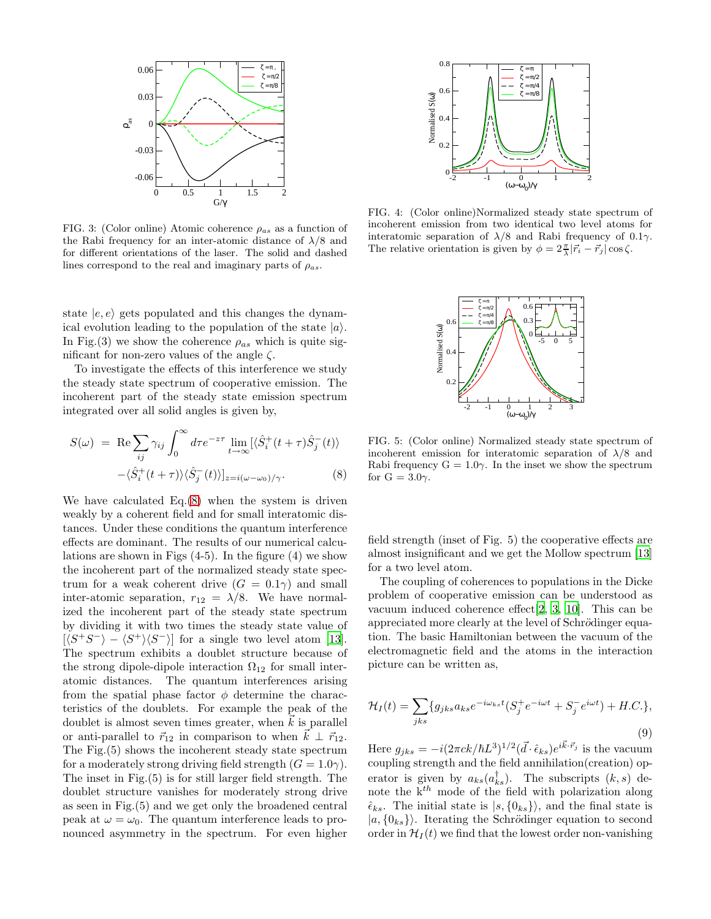

FIG. 3: (Color online) Atomic coherence  $\rho_{as}$  as a function of the Rabi frequency for an inter-atomic distance of  $\lambda/8$  and for different orientations of the laser. The solid and dashed lines correspond to the real and imaginary parts of  $\rho_{as}$ .

state  $|e, e\rangle$  gets populated and this changes the dynamical evolution leading to the population of the state  $|a\rangle$ . In Fig.(3) we show the coherence  $\rho_{as}$  which is quite significant for non-zero values of the angle  $\zeta$ .

To investigate the effects of this interference we study the steady state spectrum of cooperative emission. The incoherent part of the steady state emission spectrum integrated over all solid angles is given by,

<span id="page-2-0"></span>
$$
S(\omega) = \text{Re} \sum_{ij} \gamma_{ij} \int_0^{\infty} d\tau e^{-z\tau} \lim_{t \to \infty} [\langle \hat{S}_i^+(t+\tau) \hat{S}_j^-(t) \rangle
$$

$$
-\langle \hat{S}_i^+(t+\tau) \rangle \langle \hat{S}_j^-(t) \rangle]_{z=i(\omega-\omega_0)/\gamma}.
$$
(8)

We have calculated Eq.[\(8\)](#page-2-0) when the system is driven weakly by a coherent field and for small interatomic distances. Under these conditions the quantum interference effects are dominant. The results of our numerical calculations are shown in Figs (4-5). In the figure (4) we show the incoherent part of the normalized steady state spectrum for a weak coherent drive  $(G = 0.1\gamma)$  and small inter-atomic separation,  $r_{12} = \lambda/8$ . We have normalized the incoherent part of the steady state spectrum by dividing it with two times the steady state value of  $[\langle S^+S^- \rangle - \langle S^+ \rangle \langle S^- \rangle]$  for a single two level atom [\[13\]](#page-3-12). The spectrum exhibits a doublet structure because of the strong dipole-dipole interaction  $\Omega_{12}$  for small interatomic distances. The quantum interferences arising from the spatial phase factor  $\phi$  determine the characteristics of the doublets. For example the peak of the doublet is almost seven times greater, when  $k$  is parallel or anti-parallel to  $\vec{r}_{12}$  in comparison to when  $k \perp \vec{r}_{12}$ . The Fig.(5) shows the incoherent steady state spectrum for a moderately strong driving field strength  $(G = 1.0\gamma)$ . The inset in Fig.(5) is for still larger field strength. The doublet structure vanishes for moderately strong drive as seen in Fig.(5) and we get only the broadened central peak at  $\omega = \omega_0$ . The quantum interference leads to pronounced asymmetry in the spectrum. For even higher



FIG. 4: (Color online)Normalized steady state spectrum of incoherent emission from two identical two level atoms for interatomic separation of  $\lambda/8$  and Rabi frequency of 0.1 $\gamma$ . The relative orientation is given by  $\phi = 2\frac{\pi}{\lambda} |\vec{r}_i - \vec{r}_j| \cos \zeta$ .



FIG. 5: (Color online) Normalized steady state spectrum of incoherent emission for interatomic separation of  $\lambda/8$  and Rabi frequency  $G = 1.0\gamma$ . In the inset we show the spectrum for  $G = 3.0\gamma$ .

field strength (inset of Fig. 5) the cooperative effects are almost insignificant and we get the Mollow spectrum [\[13](#page-3-12)] for a two level atom.

The coupling of coherences to populations in the Dicke problem of cooperative emission can be understood as vacuum induced coherence effect[\[2,](#page-3-1) [3,](#page-3-2) [10\]](#page-3-9). This can be appreciated more clearly at the level of Schrödinger equation. The basic Hamiltonian between the vacuum of the electromagnetic field and the atoms in the interaction picture can be written as,

$$
\mathcal{H}_I(t) = \sum_{jks} \{g_{jks}a_{ks}e^{-i\omega_{ks}t}(S_j^+e^{-i\omega t} + S_j^-e^{i\omega t}) + H.C.\},\tag{9}
$$

Here  $g_{jks} = -i(2\pi ck/\hbar L^3)^{1/2} (\vec{d} \cdot \hat{\epsilon}_{ks}) e^{i\vec{k} \cdot \vec{r}_j}$  is the vacuum coupling strength and the field annihilation(creation) operator is given by  $a_{ks}(a_{ks}^{\dagger})$ . The subscripts  $(k, s)$  denote the  $k^{th}$  mode of the field with polarization along  $\hat{\epsilon}_{ks}$ . The initial state is  $|s, \{0_{ks}\}\rangle$ , and the final state is  $|a, \{0_{ks}\}\rangle$ . Iterating the Schrödinger equation to second order in  $\mathcal{H}_I(t)$  we find that the lowest order non-vanishing